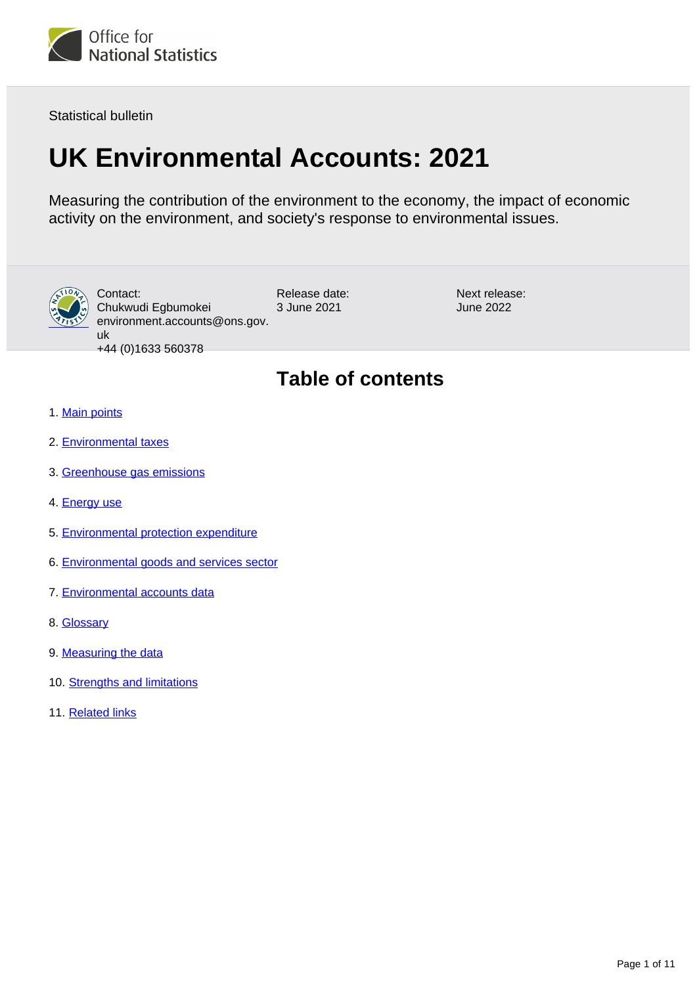

Statistical bulletin

# **UK Environmental Accounts: 2021**

Measuring the contribution of the environment to the economy, the impact of economic activity on the environment, and society's response to environmental issues.



Release date: 3 June 2021 Contact: Chukwudi Egbumokei environment.accounts@ons.gov. uk +44 (0)1633 560378

Next release: June 2022

## **Table of contents**

- 1. [Main points](#page-1-0)
- 2. [Environmental taxes](#page-1-1)
- 3. [Greenhouse gas emissions](#page-3-0)
- 4. [Energy use](#page-4-0)
- 5. [Environmental protection expenditure](#page-6-0)
- 6. [Environmental goods and services sector](#page-6-1)
- 7. [Environmental accounts data](#page-6-2)
- 8. [Glossary](#page-6-3)
- 9. [Measuring the data](#page-7-0)
- 10. [Strengths and limitations](#page-8-0)
- 11. [Related links](#page-10-0)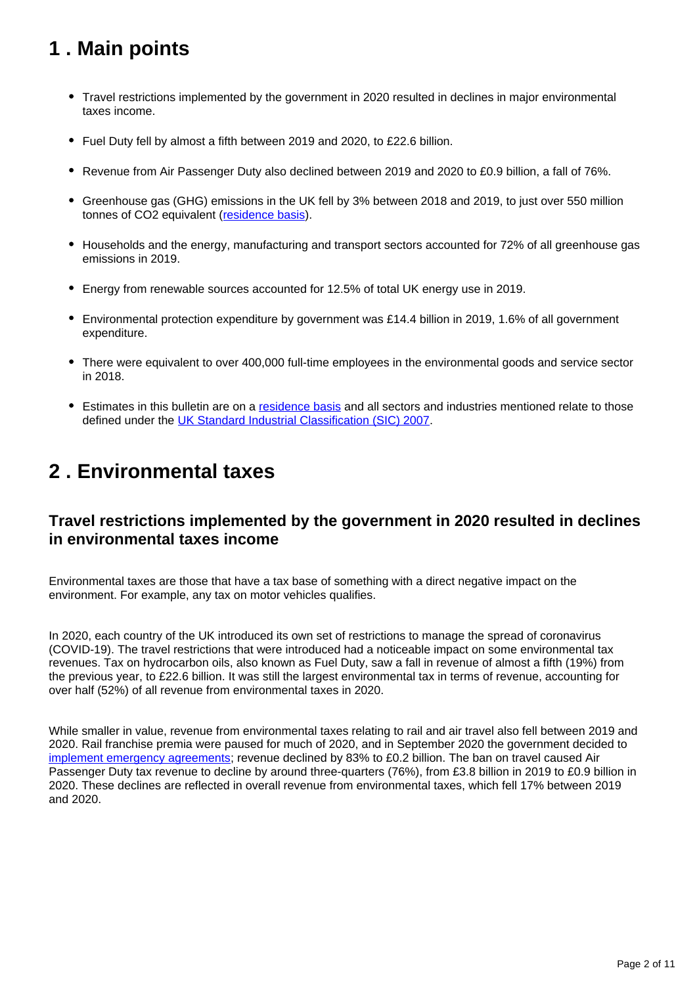## <span id="page-1-0"></span>**1 . Main points**

- Travel restrictions implemented by the government in 2020 resulted in declines in major environmental taxes income.
- Fuel Duty fell by almost a fifth between 2019 and 2020, to £22.6 billion.
- Revenue from Air Passenger Duty also declined between 2019 and 2020 to £0.9 billion, a fall of 76%.
- Greenhouse gas (GHG) emissions in the UK fell by 3% between 2018 and 2019, to just over 550 million tonnes of CO2 equivalent ([residence basis\)](https://www.ons.gov.uk/economy/environmentalaccounts/bulletins/ukenvironmentalaccounts/2020#glossary).
- Households and the energy, manufacturing and transport sectors accounted for 72% of all greenhouse gas emissions in 2019.
- Energy from renewable sources accounted for 12.5% of total UK energy use in 2019.
- Environmental protection expenditure by government was £14.4 billion in 2019, 1.6% of all government expenditure.
- There were equivalent to over 400,000 full-time employees in the environmental goods and service sector in 2018.
- Estimates in this bulletin are on a [residence basis](https://www.ons.gov.uk/economy/environmentalaccounts/bulletins/ukenvironmentalaccounts/2020#glossary) and all sectors and industries mentioned relate to those defined under the [UK Standard Industrial Classification \(SIC\) 2007](https://www.ons.gov.uk/methodology/classificationsandstandards/ukstandardindustrialclassificationofeconomicactivities/uksic2007).

## <span id="page-1-1"></span>**2 . Environmental taxes**

## **Travel restrictions implemented by the government in 2020 resulted in declines in environmental taxes income**

Environmental taxes are those that have a tax base of something with a direct negative impact on the environment. For example, any tax on motor vehicles qualifies.

In 2020, each country of the UK introduced its own set of restrictions to manage the spread of coronavirus (COVID-19). The travel restrictions that were introduced had a noticeable impact on some environmental tax revenues. Tax on hydrocarbon oils, also known as Fuel Duty, saw a fall in revenue of almost a fifth (19%) from the previous year, to £22.6 billion. It was still the largest environmental tax in terms of revenue, accounting for over half (52%) of all revenue from environmental taxes in 2020.

While smaller in value, revenue from environmental taxes relating to rail and air travel also fell between 2019 and 2020. Rail franchise premia were paused for much of 2020, and in September 2020 the government decided to [implement emergency agreements](https://commonslibrary.parliament.uk/research-briefings/cbp-8961/); revenue declined by 83% to £0.2 billion. The ban on travel caused Air Passenger Duty tax revenue to decline by around three-quarters (76%), from £3.8 billion in 2019 to £0.9 billion in 2020. These declines are reflected in overall revenue from environmental taxes, which fell 17% between 2019 and 2020.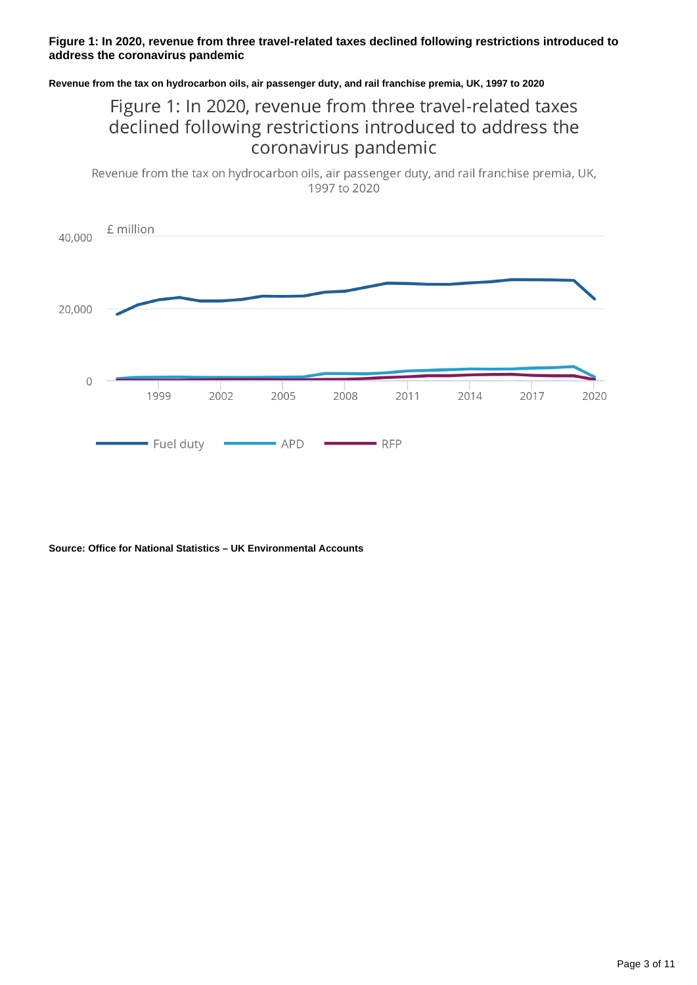#### **Figure 1: In 2020, revenue from three travel-related taxes declined following restrictions introduced to address the coronavirus pandemic**

#### **Revenue from the tax on hydrocarbon oils, air passenger duty, and rail franchise premia, UK, 1997 to 2020**

## Figure 1: In 2020, revenue from three travel-related taxes declined following restrictions introduced to address the coronavirus pandemic

Revenue from the tax on hydrocarbon oils, air passenger duty, and rail franchise premia, UK, 1997 to 2020



**Source: Office for National Statistics – UK Environmental Accounts**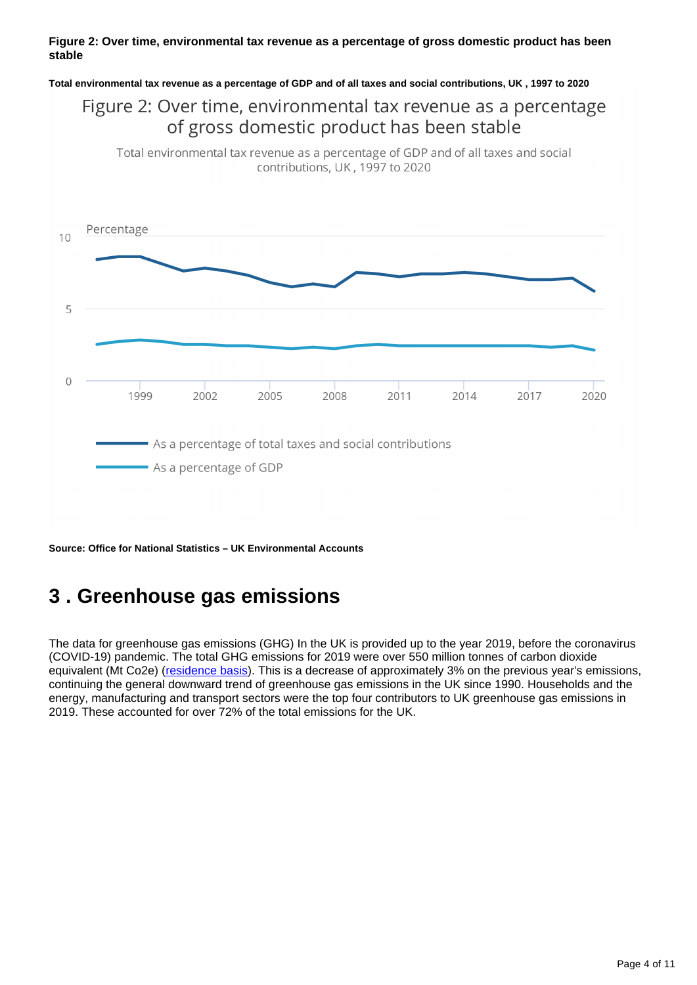#### **Figure 2: Over time, environmental tax revenue as a percentage of gross domestic product has been stable**

#### **Total environmental tax revenue as a percentage of GDP and of all taxes and social contributions, UK , 1997 to 2020**

## Figure 2: Over time, environmental tax revenue as a percentage of gross domestic product has been stable

Total environmental tax revenue as a percentage of GDP and of all taxes and social contributions, UK, 1997 to 2020



**Source: Office for National Statistics – UK Environmental Accounts**

## <span id="page-3-0"></span>**3 . Greenhouse gas emissions**

The data for greenhouse gas emissions (GHG) In the UK is provided up to the year 2019, before the coronavirus (COVID-19) pandemic. The total GHG emissions for 2019 were over 550 million tonnes of carbon dioxide equivalent (Mt Co2e) ([residence basis\)](https://www.ons.gov.uk/economy/environmentalaccounts/bulletins/ukenvironmentalaccounts/2020#glossary). This is a decrease of approximately 3% on the previous year's emissions, continuing the general downward trend of greenhouse gas emissions in the UK since 1990. Households and the energy, manufacturing and transport sectors were the top four contributors to UK greenhouse gas emissions in 2019. These accounted for over 72% of the total emissions for the UK.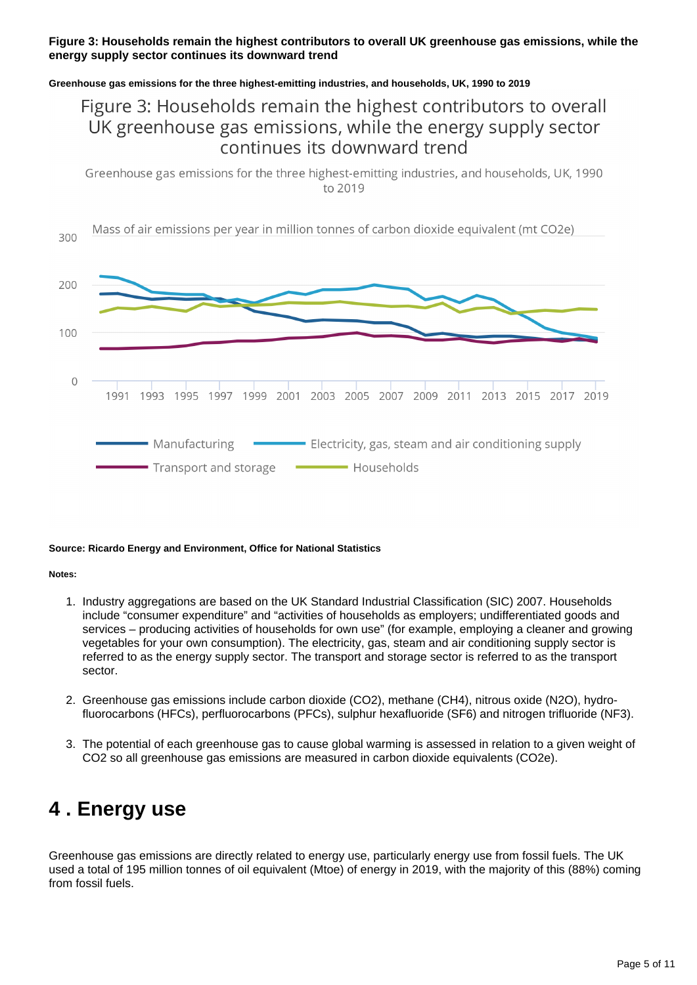#### **Figure 3: Households remain the highest contributors to overall UK greenhouse gas emissions, while the energy supply sector continues its downward trend**

#### **Greenhouse gas emissions for the three highest-emitting industries, and households, UK, 1990 to 2019**

## Figure 3: Households remain the highest contributors to overall UK greenhouse gas emissions, while the energy supply sector continues its downward trend

Greenhouse gas emissions for the three highest-emitting industries, and households, UK, 1990 to 2019



#### **Source: Ricardo Energy and Environment, Office for National Statistics**

#### **Notes:**

- 1. Industry aggregations are based on the UK Standard Industrial Classification (SIC) 2007. Households include "consumer expenditure" and "activities of households as employers; undifferentiated goods and services – producing activities of households for own use" (for example, employing a cleaner and growing vegetables for your own consumption). The electricity, gas, steam and air conditioning supply sector is referred to as the energy supply sector. The transport and storage sector is referred to as the transport sector.
- 2. Greenhouse gas emissions include carbon dioxide (CO2), methane (CH4), nitrous oxide (N2O), hydrofluorocarbons (HFCs), perfluorocarbons (PFCs), sulphur hexafluoride (SF6) and nitrogen trifluoride (NF3).
- 3. The potential of each greenhouse gas to cause global warming is assessed in relation to a given weight of CO2 so all greenhouse gas emissions are measured in carbon dioxide equivalents (CO2e).

## <span id="page-4-0"></span>**4 . Energy use**

Greenhouse gas emissions are directly related to energy use, particularly energy use from fossil fuels. The UK used a total of 195 million tonnes of oil equivalent (Mtoe) of energy in 2019, with the majority of this (88%) coming from fossil fuels.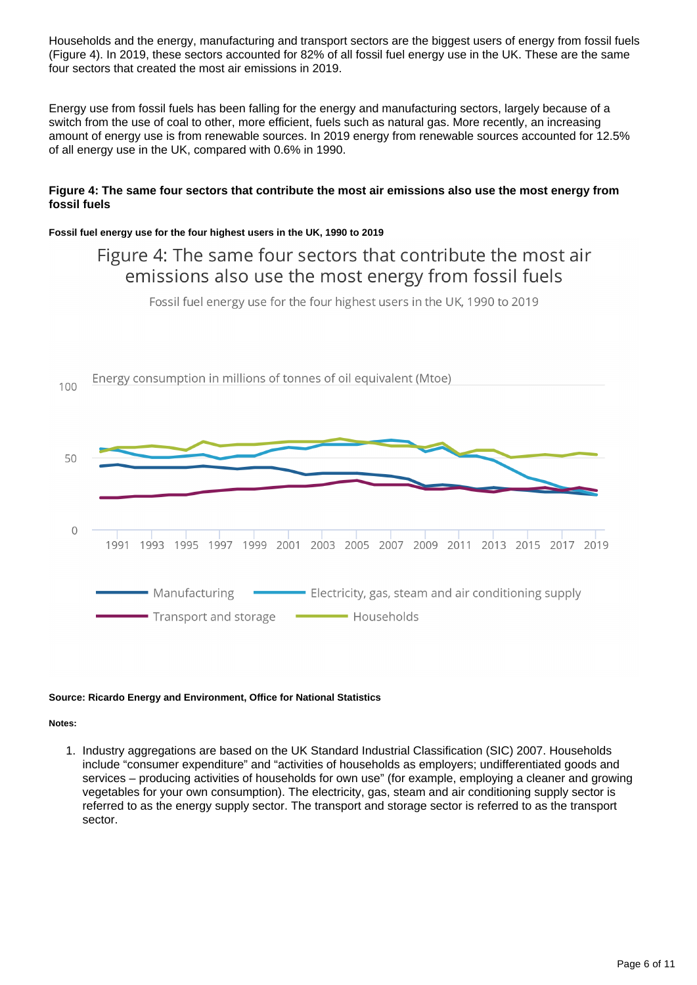Households and the energy, manufacturing and transport sectors are the biggest users of energy from fossil fuels (Figure 4). In 2019, these sectors accounted for 82% of all fossil fuel energy use in the UK. These are the same four sectors that created the most air emissions in 2019.

Energy use from fossil fuels has been falling for the energy and manufacturing sectors, largely because of a switch from the use of coal to other, more efficient, fuels such as natural gas. More recently, an increasing amount of energy use is from renewable sources. In 2019 energy from renewable sources accounted for 12.5% of all energy use in the UK, compared with 0.6% in 1990.

#### **Figure 4: The same four sectors that contribute the most air emissions also use the most energy from fossil fuels**

#### **Fossil fuel energy use for the four highest users in the UK, 1990 to 2019**

## Figure 4: The same four sectors that contribute the most air emissions also use the most energy from fossil fuels

Fossil fuel energy use for the four highest users in the UK, 1990 to 2019



#### **Source: Ricardo Energy and Environment, Office for National Statistics**

#### **Notes:**

1. Industry aggregations are based on the UK Standard Industrial Classification (SIC) 2007. Households include "consumer expenditure" and "activities of households as employers; undifferentiated goods and services – producing activities of households for own use" (for example, employing a cleaner and growing vegetables for your own consumption). The electricity, gas, steam and air conditioning supply sector is referred to as the energy supply sector. The transport and storage sector is referred to as the transport sector.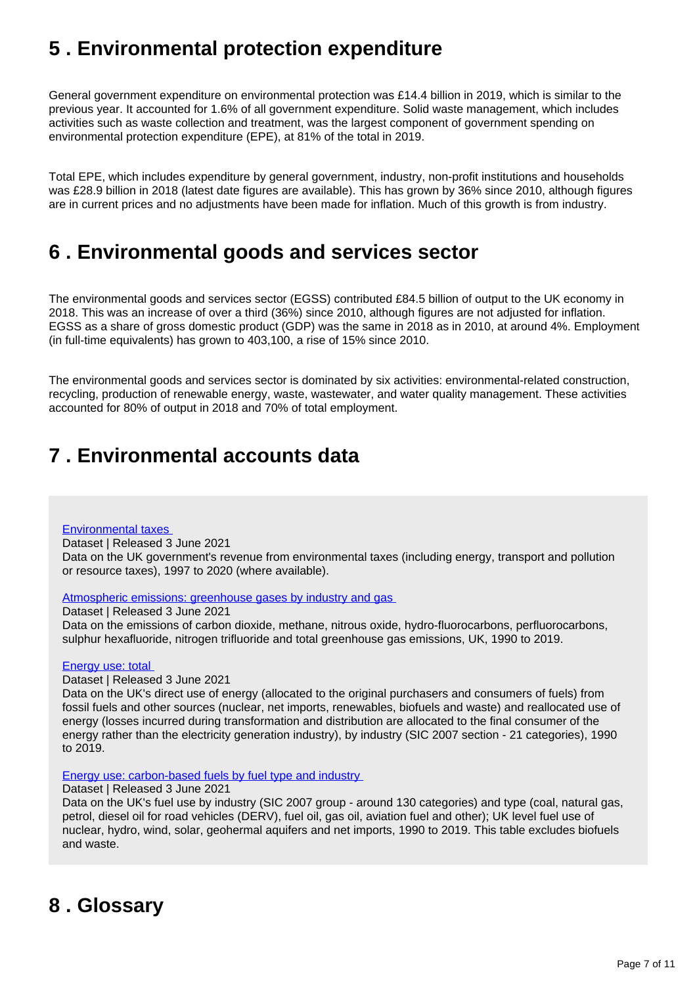## <span id="page-6-0"></span>**5 . Environmental protection expenditure**

General government expenditure on environmental protection was £14.4 billion in 2019, which is similar to the previous year. It accounted for 1.6% of all government expenditure. Solid waste management, which includes activities such as waste collection and treatment, was the largest component of government spending on environmental protection expenditure (EPE), at 81% of the total in 2019.

Total EPE, which includes expenditure by general government, industry, non-profit institutions and households was £28.9 billion in 2018 (latest date figures are available). This has grown by 36% since 2010, although figures are in current prices and no adjustments have been made for inflation. Much of this growth is from industry.

## <span id="page-6-1"></span>**6 . Environmental goods and services sector**

The environmental goods and services sector (EGSS) contributed £84.5 billion of output to the UK economy in 2018. This was an increase of over a third (36%) since 2010, although figures are not adjusted for inflation. EGSS as a share of gross domestic product (GDP) was the same in 2018 as in 2010, at around 4%. Employment (in full-time equivalents) has grown to 403,100, a rise of 15% since 2010.

The environmental goods and services sector is dominated by six activities: environmental-related construction, recycling, production of renewable energy, waste, wastewater, and water quality management. These activities accounted for 80% of output in 2018 and 70% of total employment.

## <span id="page-6-2"></span>**7 . Environmental accounts data**

#### [Environmental taxes](https://www.ons.gov.uk/economy/environmentalaccounts/datasets/ukenvironmentalaccountsenvironmentaltaxes)

Dataset | Released 3 June 2021 Data on the UK government's revenue from environmental taxes (including energy, transport and pollution or resource taxes), 1997 to 2020 (where available).

[Atmospheric emissions: greenhouse gases by industry and gas](https://www.ons.gov.uk/economy/environmentalaccounts/datasets/ukenvironmentalaccountsatmosphericemissionsgreenhousegasemissionsbyeconomicsectorandgasunitedkingdom) 

Dataset | Released 3 June 2021 Data on the emissions of carbon dioxide, methane, nitrous oxide, hydro-fluorocarbons, perfluorocarbons, sulphur hexafluoride, nitrogen trifluoride and total greenhouse gas emissions, UK, 1990 to 2019.

#### [Energy use: total](https://www.ons.gov.uk/economy/environmentalaccounts/datasets/ukenvironmentalaccountstotalenergyconsumptionbyindustry)

Dataset | Released 3 June 2021

Data on the UK's direct use of energy (allocated to the original purchasers and consumers of fuels) from fossil fuels and other sources (nuclear, net imports, renewables, biofuels and waste) and reallocated use of energy (losses incurred during transformation and distribution are allocated to the final consumer of the energy rather than the electricity generation industry), by industry (SIC 2007 section - 21 categories), 1990 to 2019.

#### [Energy use: carbon-based fuels by fuel type and industry](https://www.ons.gov.uk/economy/environmentalaccounts/datasets/ukenvironmentalaccountsfuelusebytypeandindustry)

#### Dataset | Released 3 June 2021

Data on the UK's fuel use by industry (SIC 2007 group - around 130 categories) and type (coal, natural gas, petrol, diesel oil for road vehicles (DERV), fuel oil, gas oil, aviation fuel and other); UK level fuel use of nuclear, hydro, wind, solar, geohermal aquifers and net imports, 1990 to 2019. This table excludes biofuels and waste.

## <span id="page-6-3"></span>**8 . Glossary**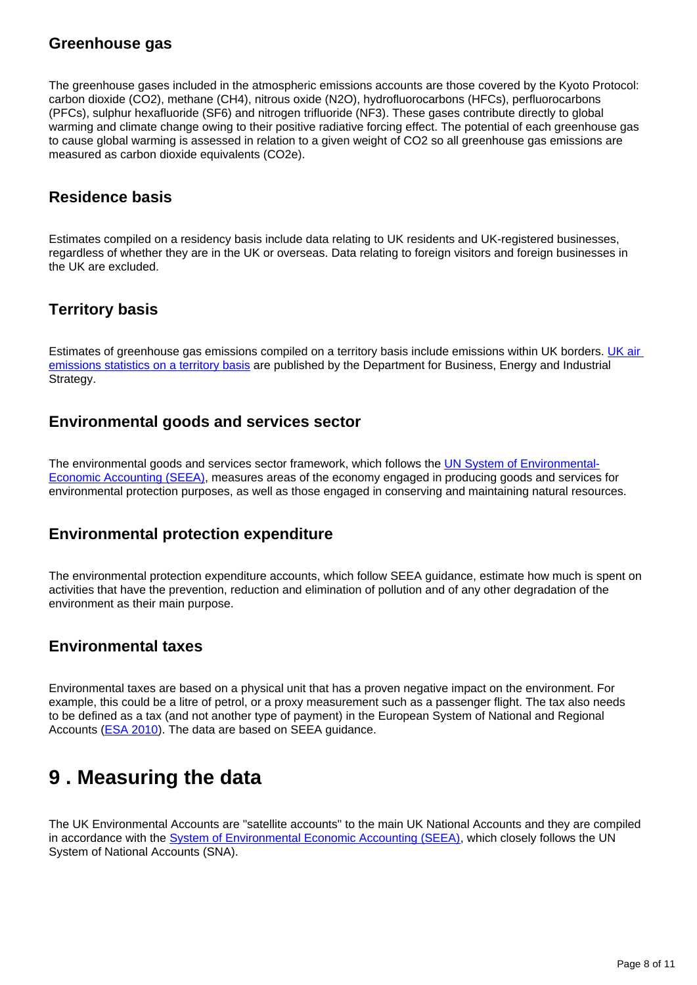### **Greenhouse gas**

The greenhouse gases included in the atmospheric emissions accounts are those covered by the Kyoto Protocol: carbon dioxide (CO2), methane (CH4), nitrous oxide (N2O), hydrofluorocarbons (HFCs), perfluorocarbons (PFCs), sulphur hexafluoride (SF6) and nitrogen trifluoride (NF3). These gases contribute directly to global warming and climate change owing to their positive radiative forcing effect. The potential of each greenhouse gas to cause global warming is assessed in relation to a given weight of CO2 so all greenhouse gas emissions are measured as carbon dioxide equivalents (CO2e).

## **Residence basis**

Estimates compiled on a residency basis include data relating to UK residents and UK-registered businesses, regardless of whether they are in the UK or overseas. Data relating to foreign visitors and foreign businesses in the UK are excluded.

## **Territory basis**

Estimates of greenhouse gas emissions compiled on a territory basis include emissions within UK borders. UK air [emissions statistics on a territory basis](https://www.gov.uk/government/collections/uk-greenhouse-gas-emissions-statistics) are published by the Department for Business, Energy and Industrial Strategy.

### **Environmental goods and services sector**

The environmental goods and services sector framework, which follows the [UN System of Environmental-](https://unstats.un.org/unsd/envaccounting/seea.asp)[Economic Accounting \(SEEA\)](https://unstats.un.org/unsd/envaccounting/seea.asp), measures areas of the economy engaged in producing goods and services for environmental protection purposes, as well as those engaged in conserving and maintaining natural resources.

### **Environmental protection expenditure**

The environmental protection expenditure accounts, which follow SEEA guidance, estimate how much is spent on activities that have the prevention, reduction and elimination of pollution and of any other degradation of the environment as their main purpose.

### **Environmental taxes**

Environmental taxes are based on a physical unit that has a proven negative impact on the environment. For example, this could be a litre of petrol, or a proxy measurement such as a passenger flight. The tax also needs to be defined as a tax (and not another type of payment) in the European System of National and Regional Accounts ([ESA 2010](https://ec.europa.eu/eurostat/web/esa-2010)). The data are based on SEEA guidance.

## <span id="page-7-0"></span>**9 . Measuring the data**

The UK Environmental Accounts are "satellite accounts" to the main UK National Accounts and they are compiled in accordance with the [System of Environmental Economic Accounting \(SEEA\)](https://unstats.un.org/unsd/envaccounting/seea.asp), which closely follows the UN System of National Accounts (SNA).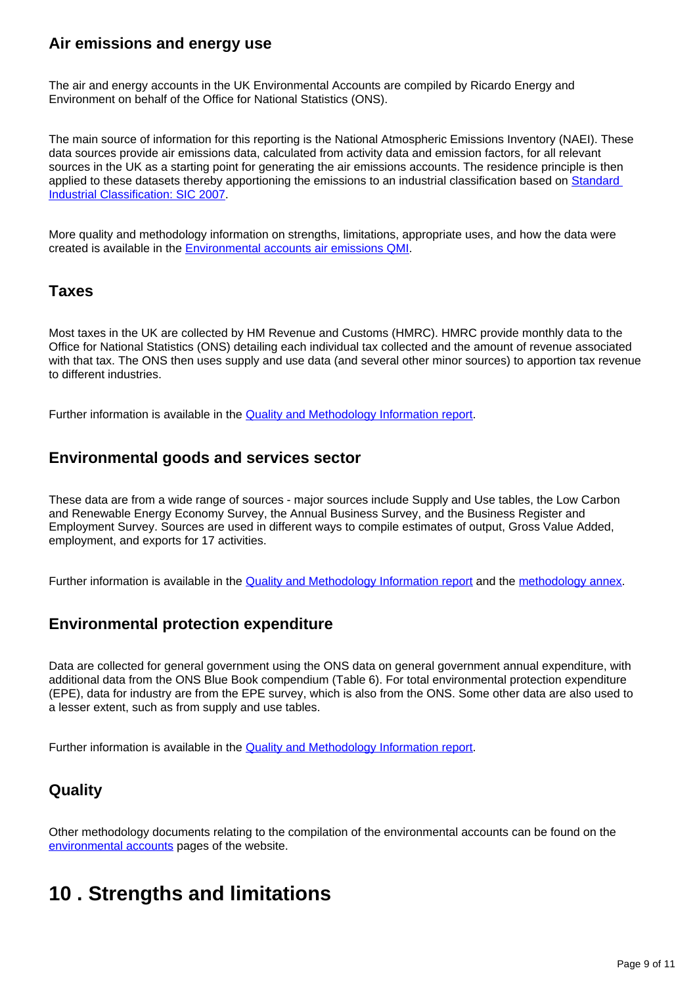## **Air emissions and energy use**

The air and energy accounts in the UK Environmental Accounts are compiled by Ricardo Energy and Environment on behalf of the Office for National Statistics (ONS).

The main source of information for this reporting is the National Atmospheric Emissions Inventory (NAEI). These data sources provide air emissions data, calculated from activity data and emission factors, for all relevant sources in the UK as a starting point for generating the air emissions accounts. The residence principle is then applied to these datasets thereby apportioning the emissions to an industrial classification based on [Standard](https://www.ons.gov.uk/methodology/classificationsandstandards/ukstandardindustrialclassificationofeconomicactivities)  [Industrial Classification: SIC 2007](https://www.ons.gov.uk/methodology/classificationsandstandards/ukstandardindustrialclassificationofeconomicactivities).

More quality and methodology information on strengths, limitations, appropriate uses, and how the data were created is available in the [Environmental accounts air emissions QMI](https://www.ons.gov.uk/economy/environmentalaccounts/methodologies/environmentalaccountsonairemissionsqmi).

### **Taxes**

Most taxes in the UK are collected by HM Revenue and Customs (HMRC). HMRC provide monthly data to the Office for National Statistics (ONS) detailing each individual tax collected and the amount of revenue associated with that tax. The ONS then uses supply and use data (and several other minor sources) to apportion tax revenue to different industries.

Further information is available in the **Quality and Methodology Information report**.

### **Environmental goods and services sector**

These data are from a wide range of sources - major sources include Supply and Use tables, the Low Carbon and Renewable Energy Economy Survey, the Annual Business Survey, and the Business Register and Employment Survey. Sources are used in different ways to compile estimates of output, Gross Value Added, employment, and exports for 17 activities.

Further information is available in the [Quality and Methodology Information report](https://www.ons.gov.uk/economy/environmentalaccounts/methodologies/environmentalaccountsontheenvironmentalgoodsandservicessectoregssqmi) and the [methodology annex](https://www.ons.gov.uk/economy/environmentalaccounts/datasets/ukenvironmentalgoodsandservicessectoregssmethodologyannex).

### **Environmental protection expenditure**

Data are collected for general government using the ONS data on general government annual expenditure, with additional data from the ONS Blue Book compendium (Table 6). For total environmental protection expenditure (EPE), data for industry are from the EPE survey, which is also from the ONS. Some other data are also used to a lesser extent, such as from supply and use tables.

Further information is available in the **Quality and Methodology Information report**.

## **Quality**

Other methodology documents relating to the compilation of the environmental accounts can be found on the [environmental accounts](https://www.ons.gov.uk/economy/environmentalaccounts/topicspecificmethodology) pages of the website.

## <span id="page-8-0"></span>**10 . Strengths and limitations**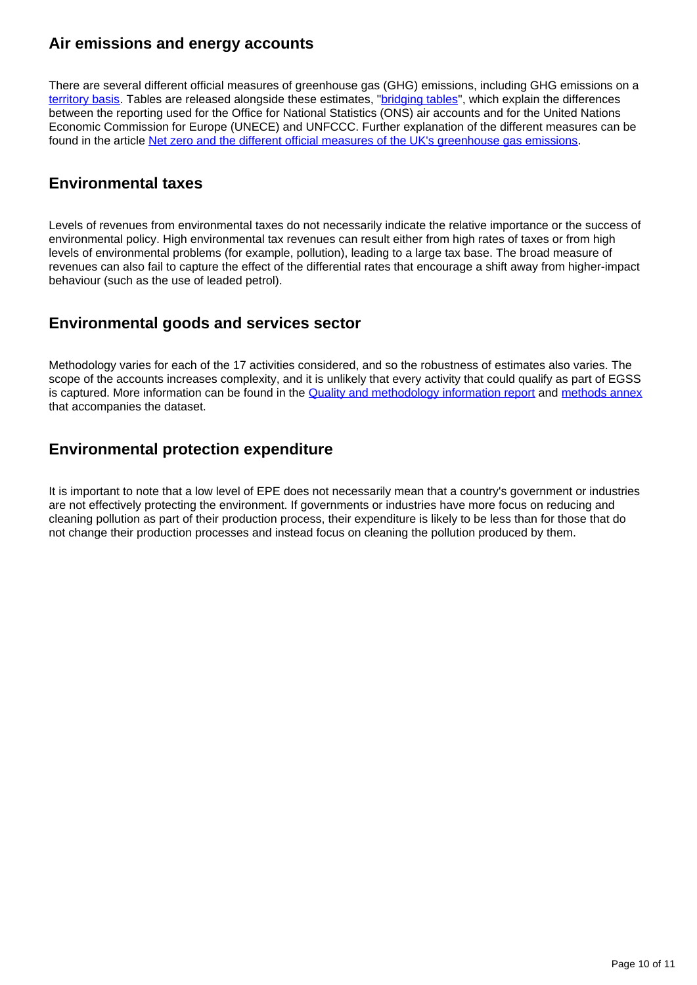## **Air emissions and energy accounts**

There are several different official measures of greenhouse gas (GHG) emissions, including GHG emissions on a [territory basis](https://www.gov.uk/government/collections/uk-greenhouse-gas-emissions-statistics#history). Tables are released alongside these estimates, "[bridging tables](https://www.ons.gov.uk/economy/environmentalaccounts/datasets/ukenvironmentalaccountsenergybridging)", which explain the differences between the reporting used for the Office for National Statistics (ONS) air accounts and for the United Nations Economic Commission for Europe (UNECE) and UNFCCC. Further explanation of the different measures can be found in the article [Net zero and the different official measures of the UK's greenhouse gas emissions.](https://www.ons.gov.uk/economy/environmentalaccounts/articles/netzeroandthedifferentofficialmeasuresoftheuksgreenhousegasemissions/2019-07-24#:~:text=The%20government%20target%20for%20at,emission%20reduction%20and%20emission%20removal.)

### **Environmental taxes**

Levels of revenues from environmental taxes do not necessarily indicate the relative importance or the success of environmental policy. High environmental tax revenues can result either from high rates of taxes or from high levels of environmental problems (for example, pollution), leading to a large tax base. The broad measure of revenues can also fail to capture the effect of the differential rates that encourage a shift away from higher-impact behaviour (such as the use of leaded petrol).

### **Environmental goods and services sector**

Methodology varies for each of the 17 activities considered, and so the robustness of estimates also varies. The scope of the accounts increases complexity, and it is unlikely that every activity that could qualify as part of EGSS is captured. More information can be found in the [Quality and methodology information report](https://www.ons.gov.uk/economy/environmentalaccounts/methodologies/environmentalaccountsontheenvironmentalgoodsandservicessectoregssqmi) and [methods annex](https://www.ons.gov.uk/economy/environmentalaccounts/datasets/ukenvironmentalgoodsandservicessectoregssmethodologyannex) that accompanies the dataset.

## **Environmental protection expenditure**

It is important to note that a low level of EPE does not necessarily mean that a country's government or industries are not effectively protecting the environment. If governments or industries have more focus on reducing and cleaning pollution as part of their production process, their expenditure is likely to be less than for those that do not change their production processes and instead focus on cleaning the pollution produced by them.